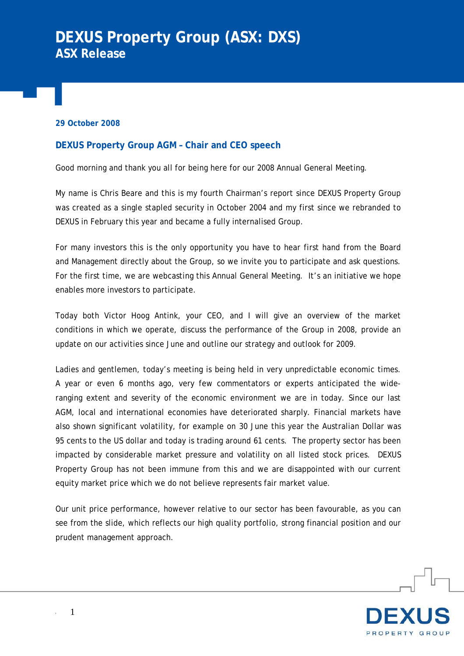# **DEXUS Property Group (ASX: DXS) ASX Release**

### **29 October 2008**

## **DEXUS Property Group AGM – Chair and CEO speech**

Good morning and thank you all for being here for our 2008 Annual General Meeting.

My name is Chris Beare and this is my fourth Chairman's report since DEXUS Property Group was created as a single stapled security in October 2004 and my first since we rebranded to DEXUS in February this year and became a fully internalised Group.

For many investors this is the only opportunity you have to hear first hand from the Board and Management directly about the Group, so we invite you to participate and ask questions. For the first time, we are webcasting this Annual General Meeting. It's an initiative we hope enables more investors to participate.

Today both Victor Hoog Antink, your CEO, and I will give an overview of the market conditions in which we operate, discuss the performance of the Group in 2008, provide an update on our activities since June and outline our strategy and outlook for 2009.

Ladies and gentlemen, today's meeting is being held in very unpredictable economic times. A year or even 6 months ago, very few commentators or experts anticipated the wideranging extent and severity of the economic environment we are in today. Since our last AGM, local and international economies have deteriorated sharply. Financial markets have also shown significant volatility, for example on 30 June this year the Australian Dollar was 95 cents to the US dollar and today is trading around 61 cents. The property sector has been impacted by considerable market pressure and volatility on all listed stock prices. DEXUS Property Group has not been immune from this and we are disappointed with our current equity market price which we do not believe represents fair market value.

Our unit price performance, however relative to our sector has been favourable, as you can see from the slide, which reflects our high quality portfolio, strong financial position and our prudent management approach.

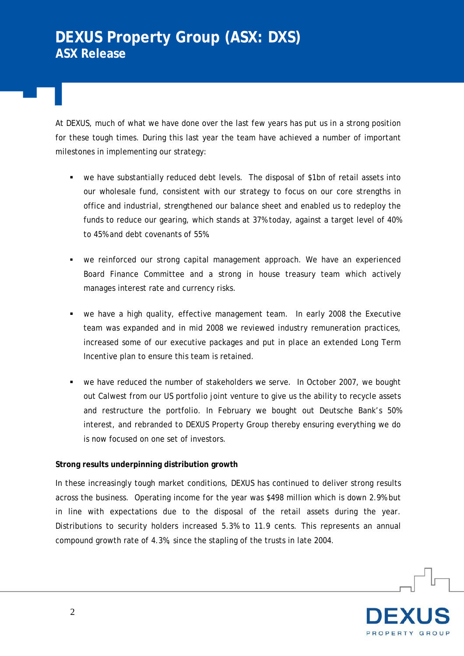At DEXUS, much of what we have done over the last few years has put us in a strong position for these tough times. During this last year the team have achieved a number of important milestones in implementing our strategy:

- we have substantially reduced debt levels. The disposal of \$1bn of retail assets into our wholesale fund, consistent with our strategy to focus on our core strengths in office and industrial, strengthened our balance sheet and enabled us to redeploy the funds to reduce our gearing, which stands at 37% today, against a target level of 40% to 45% and debt covenants of 55%.
- we reinforced our strong capital management approach. We have an experienced Board Finance Committee and a strong in house treasury team which actively manages interest rate and currency risks.
- we have a high quality, effective management team. In early 2008 the Executive team was expanded and in mid 2008 we reviewed industry remuneration practices, increased some of our executive packages and put in place an extended Long Term Incentive plan to ensure this team is retained.
- we have reduced the number of stakeholders we serve. In October 2007, we bought out Calwest from our US portfolio joint venture to give us the ability to recycle assets and restructure the portfolio. In February we bought out Deutsche Bank's 50% interest, and rebranded to DEXUS Property Group thereby ensuring everything we do is now focused on one set of investors.

## **Strong results underpinning distribution growth**

In these increasingly tough market conditions, DEXUS has continued to deliver strong results across the business. Operating income for the year was \$498 million which is down 2.9% but in line with expectations due to the disposal of the retail assets during the year. Distributions to security holders increased 5.3% to 11.9 cents. This represents an annual compound growth rate of 4.3%, since the stapling of the trusts in late 2004.

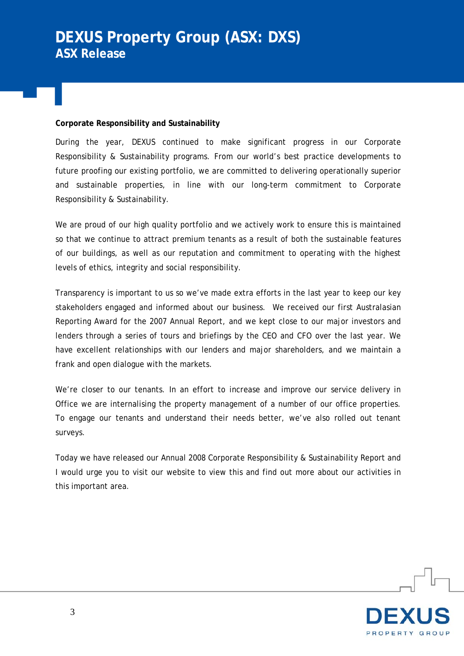## **Corporate Responsibility and Sustainability**

During the year, DEXUS continued to make significant progress in our Corporate Responsibility & Sustainability programs. From our world's best practice developments to future proofing our existing portfolio, we are committed to delivering operationally superior and sustainable properties, in line with our long-term commitment to Corporate Responsibility & Sustainability.

We are proud of our high quality portfolio and we actively work to ensure this is maintained so that we continue to attract premium tenants as a result of both the sustainable features of our buildings, as well as our reputation and commitment to operating with the highest levels of ethics, integrity and social responsibility.

Transparency is important to us so we've made extra efforts in the last year to keep our key stakeholders engaged and informed about our business. We received our first Australasian Reporting Award for the 2007 Annual Report, and we kept close to our major investors and lenders through a series of tours and briefings by the CEO and CFO over the last year. We have excellent relationships with our lenders and major shareholders, and we maintain a frank and open dialogue with the markets.

We're closer to our tenants. In an effort to increase and improve our service delivery in Office we are internalising the property management of a number of our office properties. To engage our tenants and understand their needs better, we've also rolled out tenant surveys.

Today we have released our Annual 2008 Corporate Responsibility & Sustainability Report and I would urge you to visit our website to view this and find out more about our activities in this important area.

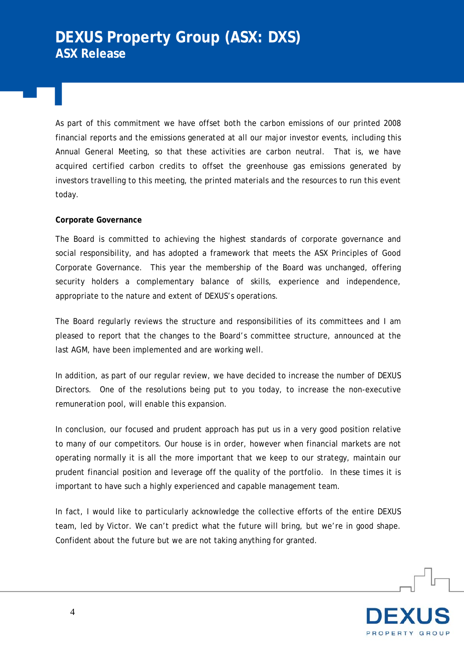As part of this commitment we have offset both the carbon emissions of our printed 2008 financial reports and the emissions generated at all our major investor events, including this Annual General Meeting, so that these activities are carbon neutral. That is, we have acquired certified carbon credits to offset the greenhouse gas emissions generated by investors travelling to this meeting, the printed materials and the resources to run this event today.

## **Corporate Governance**

The Board is committed to achieving the highest standards of corporate governance and social responsibility, and has adopted a framework that meets the ASX Principles of Good Corporate Governance. This year the membership of the Board was unchanged, offering security holders a complementary balance of skills, experience and independence, appropriate to the nature and extent of DEXUS's operations.

The Board regularly reviews the structure and responsibilities of its committees and I am pleased to report that the changes to the Board's committee structure, announced at the last AGM, have been implemented and are working well.

In addition, as part of our regular review, we have decided to increase the number of DEXUS Directors. One of the resolutions being put to you today, to increase the non-executive remuneration pool, will enable this expansion.

In conclusion, our focused and prudent approach has put us in a very good position relative to many of our competitors. Our house is in order, however when financial markets are not operating normally it is all the more important that we keep to our strategy, maintain our prudent financial position and leverage off the quality of the portfolio. In these times it is important to have such a highly experienced and capable management team.

In fact, I would like to particularly acknowledge the collective efforts of the entire DEXUS team, led by Victor. We can't predict what the future will bring, but we're in good shape. Confident about the future but we are not taking anything for granted.

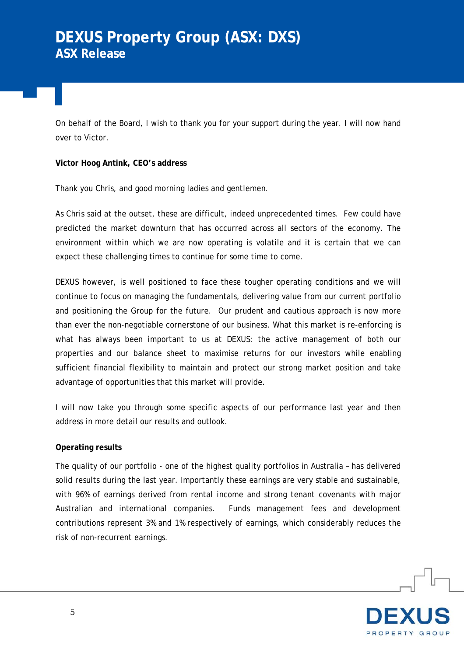On behalf of the Board, I wish to thank you for your support during the year. I will now hand over to Victor.

**Victor Hoog Antink, CEO's address** 

Thank you Chris, and good morning ladies and gentlemen.

As Chris said at the outset, these are difficult, indeed unprecedented times. Few could have predicted the market downturn that has occurred across all sectors of the economy. The environment within which we are now operating is volatile and it is certain that we can expect these challenging times to continue for some time to come.

DEXUS however, is well positioned to face these tougher operating conditions and we will continue to focus on managing the fundamentals, delivering value from our current portfolio and positioning the Group for the future. Our prudent and cautious approach is now more than ever the non-negotiable cornerstone of our business. What this market is re-enforcing is what has always been important to us at DEXUS: the active management of both our properties and our balance sheet to maximise returns for our investors while enabling sufficient financial flexibility to maintain and protect our strong market position and take advantage of opportunities that this market will provide.

I will now take you through some specific aspects of our performance last year and then address in more detail our results and outlook.

## **Operating results**

The quality of our portfolio - one of the highest quality portfolios in Australia – has delivered solid results during the last year. Importantly these earnings are very stable and sustainable, with 96% of earnings derived from rental income and strong tenant covenants with major Australian and international companies. Funds management fees and development contributions represent 3% and 1% respectively of earnings, which considerably reduces the risk of non-recurrent earnings.

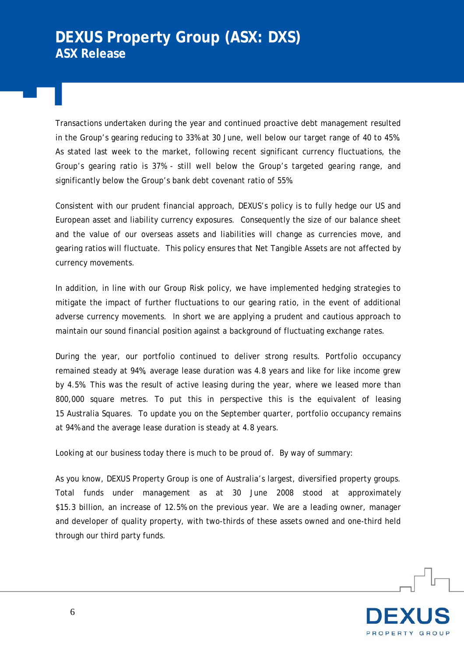Transactions undertaken during the year and continued proactive debt management resulted in the Group's gearing reducing to 33% at 30 June, well below our target range of 40 to 45%. As stated last week to the market, following recent significant currency fluctuations, the Group's gearing ratio is 37% - still well below the Group's targeted gearing range, and significantly below the Group's bank debt covenant ratio of 55%.

Consistent with our prudent financial approach, DEXUS's policy is to fully hedge our US and European asset and liability currency exposures. Consequently the size of our balance sheet and the value of our overseas assets and liabilities will change as currencies move, and gearing ratios will fluctuate. This policy ensures that Net Tangible Assets are not affected by currency movements.

In addition, in line with our Group Risk policy, we have implemented hedging strategies to mitigate the impact of further fluctuations to our gearing ratio, in the event of additional adverse currency movements. In short we are applying a prudent and cautious approach to maintain our sound financial position against a background of fluctuating exchange rates.

During the year, our portfolio continued to deliver strong results. Portfolio occupancy remained steady at 94%, average lease duration was 4.8 years and like for like income grew by 4.5%. This was the result of active leasing during the year, where we leased more than 800,000 square metres. To put this in perspective this is the equivalent of leasing 15 Australia Squares. To update you on the September quarter, portfolio occupancy remains at 94% and the average lease duration is steady at 4.8 years.

Looking at our business today there is much to be proud of. By way of summary:

As you know, DEXUS Property Group is one of Australia's largest, diversified property groups. Total funds under management as at 30 June 2008 stood at approximately \$15.3 billion, an increase of 12.5% on the previous year. We are a leading owner, manager and developer of quality property, with two-thirds of these assets owned and one-third held through our third party funds.

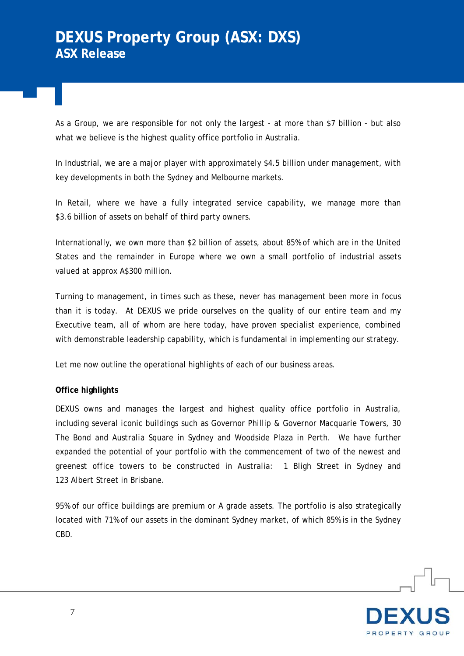As a Group, we are responsible for not only the largest - at more than \$7 billion - but also what we believe is the highest quality office portfolio in Australia.

In Industrial, we are a major player with approximately \$4.5 billion under management, with key developments in both the Sydney and Melbourne markets.

In Retail, where we have a fully integrated service capability, we manage more than \$3.6 billion of assets on behalf of third party owners.

Internationally, we own more than \$2 billion of assets, about 85% of which are in the United States and the remainder in Europe where we own a small portfolio of industrial assets valued at approx A\$300 million.

Turning to management, in times such as these, never has management been more in focus than it is today. At DEXUS we pride ourselves on the quality of our entire team and my Executive team, all of whom are here today, have proven specialist experience, combined with demonstrable leadership capability, which is fundamental in implementing our strategy.

Let me now outline the operational highlights of each of our business areas.

## **Office highlights**

DEXUS owns and manages the largest and highest quality office portfolio in Australia, including several iconic buildings such as Governor Phillip & Governor Macquarie Towers, 30 The Bond and Australia Square in Sydney and Woodside Plaza in Perth. We have further expanded the potential of your portfolio with the commencement of two of the newest and greenest office towers to be constructed in Australia: 1 Bligh Street in Sydney and 123 Albert Street in Brisbane.

95% of our office buildings are premium or A grade assets. The portfolio is also strategically located with 71% of our assets in the dominant Sydney market, of which 85% is in the Sydney CBD.

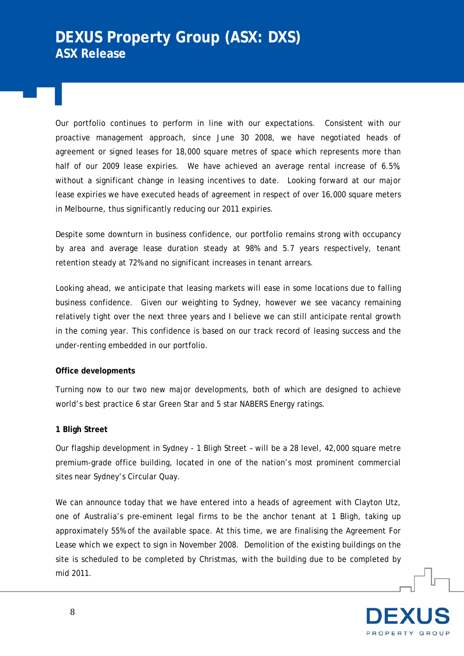Our portfolio continues to perform in line with our expectations. Consistent with our proactive management approach, since June 30 2008, we have negotiated heads of agreement or signed leases for 18,000 square metres of space which represents more than half of our 2009 lease expiries. We have achieved an average rental increase of 6.5%, without a significant change in leasing incentives to date. Looking forward at our major lease expiries we have executed heads of agreement in respect of over 16,000 square meters in Melbourne, thus significantly reducing our 2011 expiries.

Despite some downturn in business confidence, our portfolio remains strong with occupancy by area and average lease duration steady at 98% and 5.7 years respectively, tenant retention steady at 72% and no significant increases in tenant arrears.

Looking ahead, we anticipate that leasing markets will ease in some locations due to falling business confidence. Given our weighting to Sydney, however we see vacancy remaining relatively tight over the next three years and I believe we can still anticipate rental growth in the coming year. This confidence is based on our track record of leasing success and the under-renting embedded in our portfolio.

#### **Office developments**

Turning now to our two new major developments, both of which are designed to achieve world's best practice 6 star Green Star and 5 star NABERS Energy ratings.

## **1 Bligh Street**

Our flagship development in Sydney - 1 Bligh Street – will be a 28 level, 42,000 square metre premium-grade office building, located in one of the nation's most prominent commercial sites near Sydney's Circular Quay.

We can announce today that we have entered into a heads of agreement with Clayton Utz, one of Australia's pre-eminent legal firms to be the anchor tenant at 1 Bligh, taking up approximately 55% of the available space. At this time, we are finalising the Agreement For Lease which we expect to sign in November 2008. Demolition of the existing buildings on the site is scheduled to be completed by Christmas, with the building due to be completed by mid 2011.

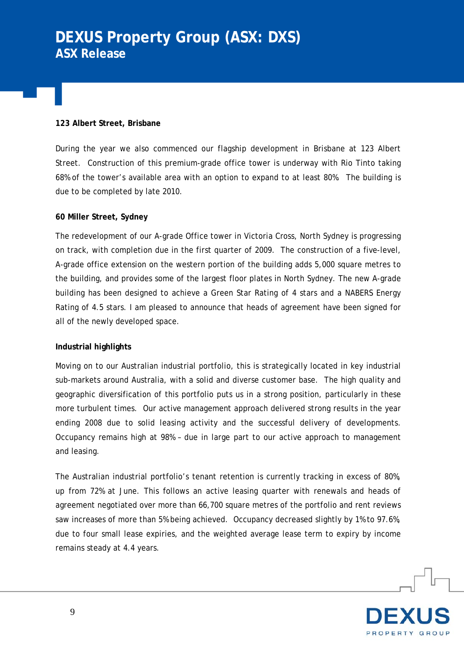# **DEXUS Property Group (ASX: DXS) ASX Release**

### **123 Albert Street, Brisbane**

During the year we also commenced our flagship development in Brisbane at 123 Albert Street. Construction of this premium-grade office tower is underway with Rio Tinto taking 68% of the tower's available area with an option to expand to at least 80%. The building is due to be completed by late 2010.

### **60 Miller Street, Sydney**

The redevelopment of our A-grade Office tower in Victoria Cross, North Sydney is progressing on track, with completion due in the first quarter of 2009. The construction of a five-level, A-grade office extension on the western portion of the building adds 5,000 square metres to the building, and provides some of the largest floor plates in North Sydney. The new A-grade building has been designed to achieve a Green Star Rating of 4 stars and a NABERS Energy Rating of 4.5 stars. I am pleased to announce that heads of agreement have been signed for all of the newly developed space.

## **Industrial highlights**

Moving on to our Australian industrial portfolio, this is strategically located in key industrial sub-markets around Australia, with a solid and diverse customer base. The high quality and geographic diversification of this portfolio puts us in a strong position, particularly in these more turbulent times. Our active management approach delivered strong results in the year ending 2008 due to solid leasing activity and the successful delivery of developments. Occupancy remains high at 98% – due in large part to our active approach to management and leasing.

The Australian industrial portfolio's tenant retention is currently tracking in excess of 80%, up from 72% at June. This follows an active leasing quarter with renewals and heads of agreement negotiated over more than 66,700 square metres of the portfolio and rent reviews saw increases of more than 5% being achieved. Occupancy decreased slightly by 1% to 97.6%, due to four small lease expiries, and the weighted average lease term to expiry by income remains steady at 4.4 years.

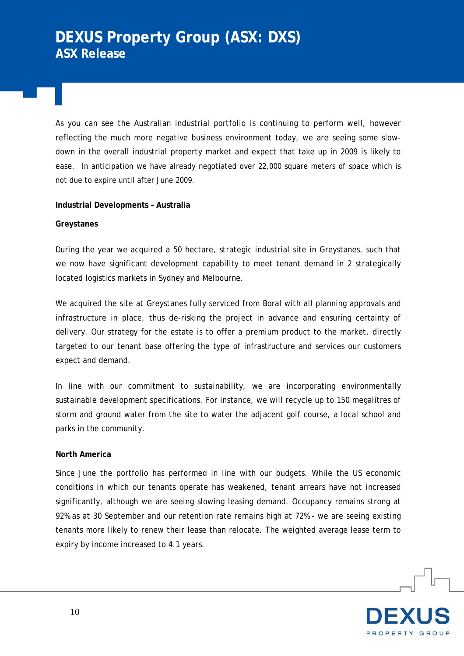As you can see the Australian industrial portfolio is continuing to perform well, however reflecting the much more negative business environment today, we are seeing some slowdown in the overall industrial property market and expect that take up in 2009 is likely to ease. In anticipation we have already negotiated over 22,000 square meters of space which is not due to expire until after June 2009.

### **Industrial Developments – Australia**

### **Greystanes**

During the year we acquired a 50 hectare, strategic industrial site in Greystanes, such that we now have significant development capability to meet tenant demand in 2 strategically located logistics markets in Sydney and Melbourne.

We acquired the site at Greystanes fully serviced from Boral with all planning approvals and infrastructure in place, thus de-risking the project in advance and ensuring certainty of delivery. Our strategy for the estate is to offer a premium product to the market, directly targeted to our tenant base offering the type of infrastructure and services our customers expect and demand.

In line with our commitment to sustainability, we are incorporating environmentally sustainable development specifications. For instance, we will recycle up to 150 megalitres of storm and ground water from the site to water the adjacent golf course, a local school and parks in the community.

#### **North America**

Since June the portfolio has performed in line with our budgets. While the US economic conditions in which our tenants operate has weakened, tenant arrears have not increased significantly, although we are seeing slowing leasing demand. Occupancy remains strong at 92% as at 30 September and our retention rate remains high at 72% - we are seeing existing tenants more likely to renew their lease than relocate. The weighted average lease term to expiry by income increased to 4.1 years.

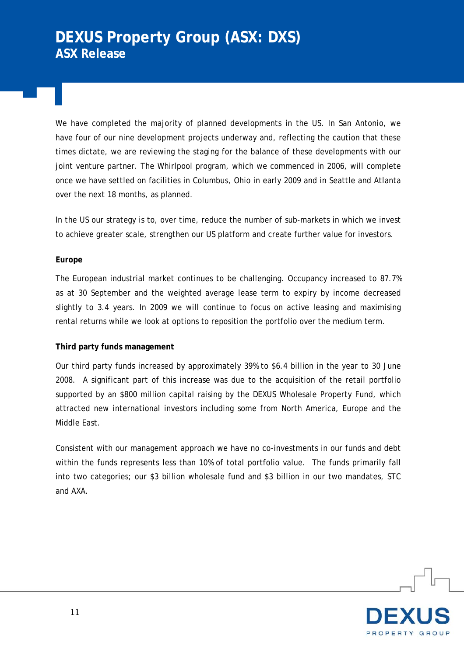We have completed the majority of planned developments in the US. In San Antonio, we have four of our nine development projects underway and, reflecting the caution that these times dictate, we are reviewing the staging for the balance of these developments with our joint venture partner. The Whirlpool program, which we commenced in 2006, will complete once we have settled on facilities in Columbus, Ohio in early 2009 and in Seattle and Atlanta over the next 18 months, as planned.

In the US our strategy is to, over time, reduce the number of sub-markets in which we invest to achieve greater scale, strengthen our US platform and create further value for investors.

## **Europe**

The European industrial market continues to be challenging. Occupancy increased to 87.7% as at 30 September and the weighted average lease term to expiry by income decreased slightly to 3.4 years. In 2009 we will continue to focus on active leasing and maximising rental returns while we look at options to reposition the portfolio over the medium term.

#### **Third party funds management**

Our third party funds increased by approximately 39% to \$6.4 billion in the year to 30 June 2008. A significant part of this increase was due to the acquisition of the retail portfolio supported by an \$800 million capital raising by the DEXUS Wholesale Property Fund, which attracted new international investors including some from North America, Europe and the Middle East.

Consistent with our management approach we have no co-investments in our funds and debt within the funds represents less than 10% of total portfolio value. The funds primarily fall into two categories; our \$3 billion wholesale fund and \$3 billion in our two mandates, STC and AXA.

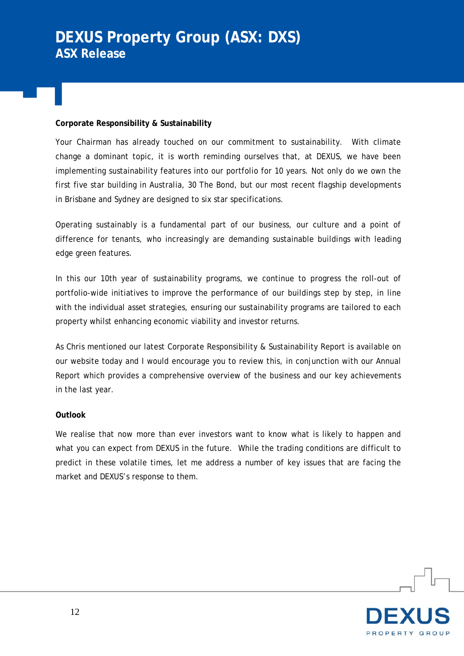## **Corporate Responsibility & Sustainability**

Your Chairman has already touched on our commitment to sustainability. With climate change a dominant topic, it is worth reminding ourselves that, at DEXUS, we have been implementing sustainability features into our portfolio for 10 years. Not only do we own the first five star building in Australia, 30 The Bond, but our most recent flagship developments in Brisbane and Sydney are designed to six star specifications.

Operating sustainably is a fundamental part of our business, our culture and a point of difference for tenants, who increasingly are demanding sustainable buildings with leading edge green features.

In this our 10th year of sustainability programs, we continue to progress the roll-out of portfolio-wide initiatives to improve the performance of our buildings step by step, in line with the individual asset strategies, ensuring our sustainability programs are tailored to each property whilst enhancing economic viability and investor returns.

As Chris mentioned our latest Corporate Responsibility & Sustainability Report is available on our website today and I would encourage you to review this, in conjunction with our Annual Report which provides a comprehensive overview of the business and our key achievements in the last year.

#### **Outlook**

We realise that now more than ever investors want to know what is likely to happen and what you can expect from DEXUS in the future. While the trading conditions are difficult to predict in these volatile times, let me address a number of key issues that are facing the market and DEXUS's response to them.

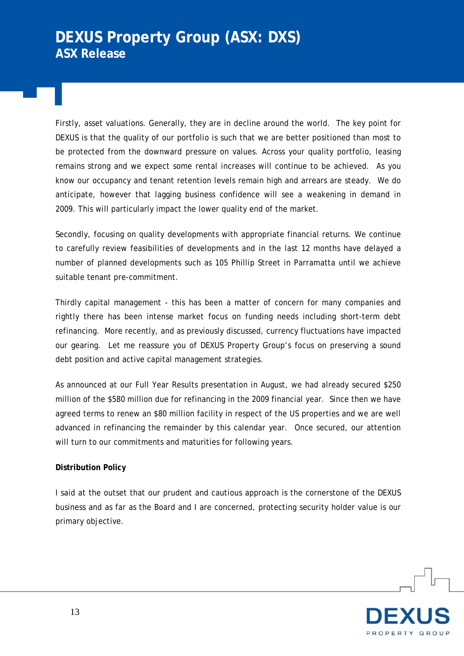Firstly, asset valuations. Generally, they are in decline around the world. The key point for DEXUS is that the quality of our portfolio is such that we are better positioned than most to be protected from the downward pressure on values. Across your quality portfolio, leasing remains strong and we expect some rental increases will continue to be achieved. As you know our occupancy and tenant retention levels remain high and arrears are steady. We do anticipate, however that lagging business confidence will see a weakening in demand in 2009. This will particularly impact the lower quality end of the market.

Secondly, focusing on quality developments with appropriate financial returns. We continue to carefully review feasibilities of developments and in the last 12 months have delayed a number of planned developments such as 105 Phillip Street in Parramatta until we achieve suitable tenant pre-commitment.

Thirdly capital management - this has been a matter of concern for many companies and rightly there has been intense market focus on funding needs including short-term debt refinancing. More recently, and as previously discussed, currency fluctuations have impacted our gearing. Let me reassure you of DEXUS Property Group's focus on preserving a sound debt position and active capital management strategies.

As announced at our Full Year Results presentation in August, we had already secured \$250 million of the \$580 million due for refinancing in the 2009 financial year. Since then we have agreed terms to renew an \$80 million facility in respect of the US properties and we are well advanced in refinancing the remainder by this calendar year. Once secured, our attention will turn to our commitments and maturities for following years.

## **Distribution Policy**

I said at the outset that our prudent and cautious approach is the cornerstone of the DEXUS business and as far as the Board and I are concerned, protecting security holder value is our primary objective.

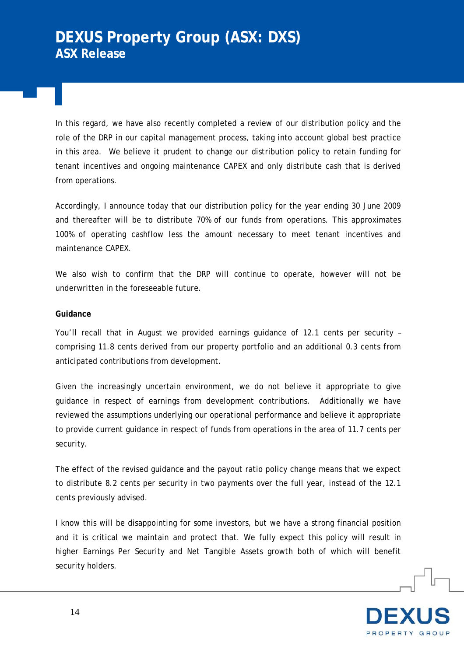In this regard, we have also recently completed a review of our distribution policy and the role of the DRP in our capital management process, taking into account global best practice in this area. We believe it prudent to change our distribution policy to retain funding for tenant incentives and ongoing maintenance CAPEX and only distribute cash that is derived from operations.

Accordingly, I announce today that our distribution policy for the year ending 30 June 2009 and thereafter will be to distribute 70% of our funds from operations. This approximates 100% of operating cashflow less the amount necessary to meet tenant incentives and maintenance CAPEX.

We also wish to confirm that the DRP will continue to operate, however will not be underwritten in the foreseeable future.

### **Guidance**

You'll recall that in August we provided earnings guidance of 12.1 cents per security – comprising 11.8 cents derived from our property portfolio and an additional 0.3 cents from anticipated contributions from development.

Given the increasingly uncertain environment, we do not believe it appropriate to give guidance in respect of earnings from development contributions. Additionally we have reviewed the assumptions underlying our operational performance and believe it appropriate to provide current guidance in respect of funds from operations in the area of 11.7 cents per security.

The effect of the revised guidance and the payout ratio policy change means that we expect to distribute 8.2 cents per security in two payments over the full year, instead of the 12.1 cents previously advised.

I know this will be disappointing for some investors, but we have a strong financial position and it is critical we maintain and protect that. We fully expect this policy will result in higher Earnings Per Security and Net Tangible Assets growth both of which will benefit security holders.